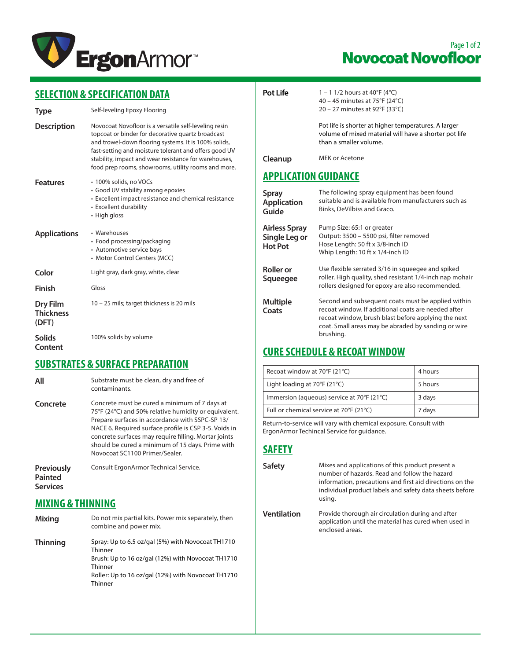

## Page 1 of 2 Novocoat Novofloor

## **SELECTION & SPECIFICATION DATA**

| Type                                  | Self-leveling Epoxy Flooring                                                                                                                                                                                                                                                                                                                |  |
|---------------------------------------|---------------------------------------------------------------------------------------------------------------------------------------------------------------------------------------------------------------------------------------------------------------------------------------------------------------------------------------------|--|
| <b>Description</b>                    | Novocoat Novofloor is a versatile self-leveling resin<br>topcoat or binder for decorative quartz broadcast<br>and trowel-down flooring systems. It is 100% solids,<br>fast-setting and moisture tolerant and offers good UV<br>stability, impact and wear resistance for warehouses,<br>food prep rooms, showrooms, utility rooms and more. |  |
| <b>Features</b>                       | • 100% solids, no VOCs<br>• Good UV stability among epoxies<br>• Excellent impact resistance and chemical resistance<br>• Excellent durability<br>• High gloss                                                                                                                                                                              |  |
| <b>Applications</b>                   | • Warehouses<br>• Food processing/packaging<br>• Automotive service bays<br>• Motor Control Centers (MCC)                                                                                                                                                                                                                                   |  |
| Color                                 | Light gray, dark gray, white, clear                                                                                                                                                                                                                                                                                                         |  |
| Finish                                | Gloss                                                                                                                                                                                                                                                                                                                                       |  |
| Dry Film<br><b>Thickness</b><br>(DFT) | 10 – 25 mils; target thickness is 20 mils                                                                                                                                                                                                                                                                                                   |  |
| Solids<br>Content                     | 100% solids by volume                                                                                                                                                                                                                                                                                                                       |  |

#### **SUBSTRATES & SURFACE PREPARATION**

- **All** Substrate must be clean, dry and free of contaminants.
- **Concrete** Concrete must be cured a minimum of 7 days at 75°F (24°C) and 50% relative humidity or equivalent. Prepare surfaces in accordance with SSPC-SP 13/ NACE 6. Required surface profile is CSP 3-5. Voids in concrete surfaces may require filling. Mortar joints should be cured a minimum of 15 days. Prime with Novocoat SC1100 Primer/Sealer.

**Previously Painted Services** Consult ErgonArmor Technical Service.

#### **MIXING & THINNING**

**Mixing** Do not mix partial kits. Power mix separately, then combine and power mix.  **Thinning** Spray: Up to 6.5 oz/gal (5%) with Novocoat TH1710 Thinner Brush: Up to 16 oz/gal (12%) with Novocoat TH1710 **Thinner** Roller: Up to 16 oz/gal (12%) with Novocoat TH1710 **Thinner** 

- 
- **Pot Life**  $1 1 \frac{1}{2}$  hours at  $40^{\circ}F(4^{\circ}C)$ 40 – 45 minutes at 75°F (24°C) 20 – 27 minutes at 92°F (33°C)

Pot life is shorter at higher temperatures. A larger volume of mixed material will have a shorter pot life than a smaller volume.

**Cleanup** MEK or Acetone

### **APPLICATION GUIDANCE**

| <b>Spray</b><br><b>Application</b><br>Guide             | The following spray equipment has been found<br>suitable and is available from manufacturers such as<br>Binks, DeVilbiss and Graco.                                                                                                  |
|---------------------------------------------------------|--------------------------------------------------------------------------------------------------------------------------------------------------------------------------------------------------------------------------------------|
| <b>Airless Spray</b><br>Single Leg or<br><b>Hot Pot</b> | Pump Size: 65:1 or greater<br>Output: 3500 - 5500 psi, filter removed<br>Hose Length: 50 ft x 3/8-inch ID<br>Whip Length: 10 ft x 1/4-inch ID                                                                                        |
| <b>Roller</b> or<br>Squeegee                            | Use flexible serrated 3/16 in squeegee and spiked<br>roller. High quality, shed resistant 1/4-inch nap mohair<br>rollers designed for epoxy are also recommended.                                                                    |
| <b>Multiple</b><br>Coats                                | Second and subsequent coats must be applied within<br>recoat window. If additional coats are needed after<br>recoat window, brush blast before applying the next<br>coat. Small areas may be abraded by sanding or wire<br>brushing. |

## **CURE SCHEDULE & RECOAT WINDOW**

| Recoat window at 70°F (21°C)               | 4 hours |
|--------------------------------------------|---------|
| Light loading at 70°F (21°C)               | 5 hours |
| Immersion (aqueous) service at 70°F (21°C) | 3 days  |
| Full or chemical service at 70°F (21°C)    | 7 days  |

Return-to-service will vary with chemical exposure. Consult with ErgonArmor Techincal Service for guidance.

#### **SAFETY**

**Safety** Mixes and applications of this product present a number of hazards. Read and follow the hazard information, precautions and first aid directions on the individual product labels and safety data sheets before using. **Ventilation** Provide thorough air circulation during and after application until the material has cured when used in enclosed areas.